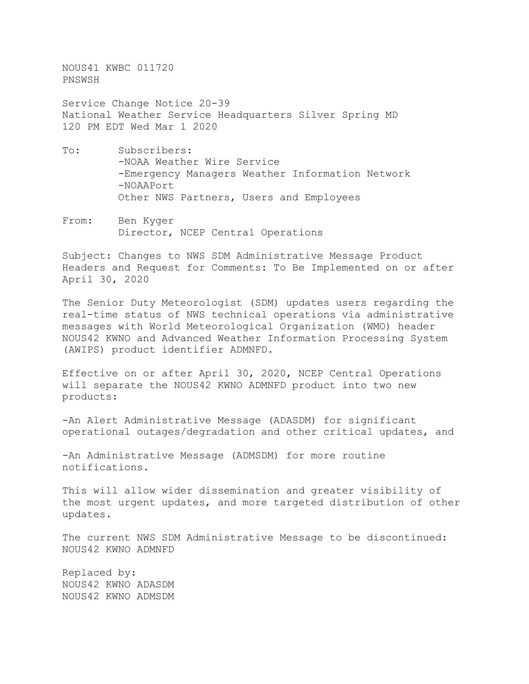NOUS41 KWBC 011720 PNSWSH

Service Change Notice 20-39 National Weather Service Headquarters Silver Spring MD 120 PM EDT Wed Mar 1 2020

- To: Subscribers: -NOAA Weather Wire Service -Emergency Managers Weather Information Network -NOAAPort Other NWS Partners, Users and Employees
- From: Ben Kyger Director, NCEP Central Operations

Subject: Changes to NWS SDM Administrative Message Product Headers and Request for Comments: To Be Implemented on or after April 30, 2020

The Senior Duty Meteorologist (SDM) updates users regarding the real-time status of NWS technical operations via administrative messages with World Meteorological Organization (WMO) header NOUS42 KWNO and Advanced Weather Information Processing System (AWIPS) product identifier ADMNFD.

Effective on or after April 30, 2020, NCEP Central Operations will separate the NOUS42 KWNO ADMNFD product into two new products:

-An Alert Administrative Message (ADASDM) for significant operational outages/degradation and other critical updates, and

-An Administrative Message (ADMSDM) for more routine notifications.

This will allow wider dissemination and greater visibility of the most urgent updates, and more targeted distribution of other updates.

The current NWS SDM Administrative Message to be discontinued: NOUS42 KWNO ADMNFD

Replaced by: NOUS42 KWNO ADASDM NOUS42 KWNO ADMSDM